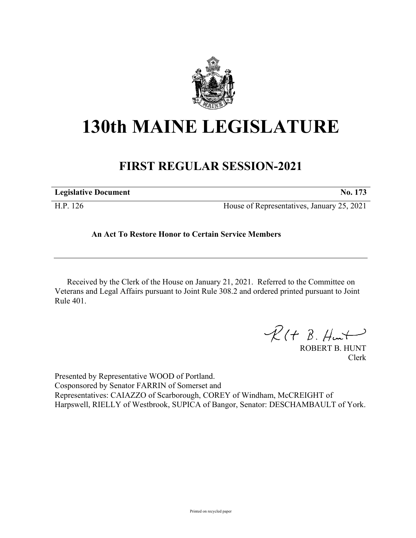

## **130th MAINE LEGISLATURE**

## **FIRST REGULAR SESSION-2021**

| <b>Legislative Document</b> | No. 173                                    |
|-----------------------------|--------------------------------------------|
| H.P. 126                    | House of Representatives, January 25, 2021 |

## **An Act To Restore Honor to Certain Service Members**

Received by the Clerk of the House on January 21, 2021. Referred to the Committee on Veterans and Legal Affairs pursuant to Joint Rule 308.2 and ordered printed pursuant to Joint Rule 401.

 $R(H B. H<sub>un</sub>+)$ 

ROBERT B. HUNT Clerk

Presented by Representative WOOD of Portland. Cosponsored by Senator FARRIN of Somerset and Representatives: CAIAZZO of Scarborough, COREY of Windham, McCREIGHT of Harpswell, RIELLY of Westbrook, SUPICA of Bangor, Senator: DESCHAMBAULT of York.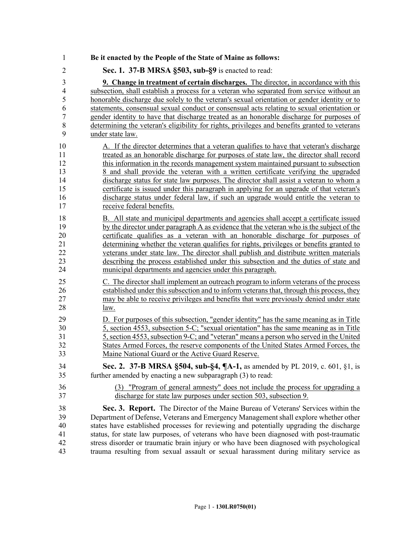| $\mathbf{1}$   | Be it enacted by the People of the State of Maine as follows:                                 |
|----------------|-----------------------------------------------------------------------------------------------|
| $\overline{2}$ | Sec. 1. 37-B MRSA §503, sub-§9 is enacted to read:                                            |
| 3              | <b>9. Change in treatment of certain discharges.</b> The director, in accordance with this    |
| $\overline{4}$ | subsection, shall establish a process for a veteran who separated from service without an     |
| 5              | honorable discharge due solely to the veteran's sexual orientation or gender identity or to   |
| 6              | statements, consensual sexual conduct or consensual acts relating to sexual orientation or    |
| 7              | gender identity to have that discharge treated as an honorable discharge for purposes of      |
| 8              | determining the veteran's eligibility for rights, privileges and benefits granted to veterans |
| 9              | under state law.                                                                              |
| 10             | A. If the director determines that a veteran qualifies to have that veteran's discharge       |
| 11             | treated as an honorable discharge for purposes of state law, the director shall record        |
| 12             | this information in the records management system maintained pursuant to subsection           |
| 13             | 8 and shall provide the veteran with a written certificate verifying the upgraded             |
| 14             | discharge status for state law purposes. The director shall assist a veteran to whom a        |
| 15             | certificate is issued under this paragraph in applying for an upgrade of that veteran's       |
| 16             | discharge status under federal law, if such an upgrade would entitle the veteran to           |
| 17             | receive federal benefits.                                                                     |
| 18             | B. All state and municipal departments and agencies shall accept a certificate issued         |
| 19             | by the director under paragraph A as evidence that the veteran who is the subject of the      |
| 20             | certificate qualifies as a veteran with an honorable discharge for purposes of                |
| 21             | determining whether the veteran qualifies for rights, privileges or benefits granted to       |
| 22             | veterans under state law. The director shall publish and distribute written materials         |
| 23             | describing the process established under this subsection and the duties of state and          |
| 24             | municipal departments and agencies under this paragraph.                                      |
| 25             | C. The director shall implement an outreach program to inform veterans of the process         |
| 26             | established under this subsection and to inform veterans that, through this process, they     |
| 27             | may be able to receive privileges and benefits that were previously denied under state        |
| 28             | <u>law.</u>                                                                                   |
| 29             | D. For purposes of this subsection, "gender identity" has the same meaning as in Title        |
| 30             | 5, section 4553, subsection 5-C; "sexual orientation" has the same meaning as in Title        |
| 31             | 5, section 4553, subsection 9-C; and "veteran" means a person who served in the United        |
| 32             | States Armed Forces, the reserve components of the United States Armed Forces, the            |
| 33             | Maine National Guard or the Active Guard Reserve                                              |
| 34             | Sec. 2. 37-B MRSA §504, sub-§4, ¶A-1, as amended by PL 2019, c. 601, §1, is                   |
| 35             | further amended by enacting a new subparagraph (3) to read:                                   |
| 36             | (3) "Program of general amnesty" does not include the process for upgrading a                 |
| 37             | discharge for state law purposes under section 503, subsection 9.                             |
| 38             | Sec. 3. Report. The Director of the Maine Bureau of Veterans' Services within the             |
| 39             | Department of Defense, Veterans and Emergency Management shall explore whether other          |
| 40             | states have established processes for reviewing and potentially upgrading the discharge       |
| 41             | status, for state law purposes, of veterans who have been diagnosed with post-traumatic       |
| 42             | stress disorder or traumatic brain injury or who have been diagnosed with psychological       |
| 43             | trauma resulting from sexual assault or sexual harassment during military service as          |